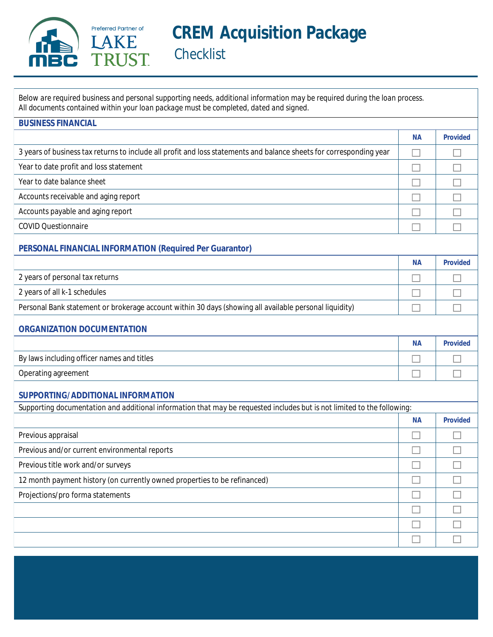

Below are required business and personal supporting needs, additional information may be required during the loan process. All documents contained within your loan package must be completed, dated and signed.

| <b>BUSINESS FINANCIAL</b>                                                                                               |           |                 |
|-------------------------------------------------------------------------------------------------------------------------|-----------|-----------------|
|                                                                                                                         | <b>NA</b> | <b>Provided</b> |
| 3 years of business tax returns to include all profit and loss statements and balance sheets for corresponding year     |           |                 |
| Year to date profit and loss statement                                                                                  |           |                 |
| Year to date balance sheet                                                                                              |           |                 |
| Accounts receivable and aging report                                                                                    |           |                 |
| Accounts payable and aging report                                                                                       |           |                 |
| <b>COVID Questionnaire</b>                                                                                              |           |                 |
| PERSONAL FINANCIAL INFORMATION (Required Per Guarantor)                                                                 |           |                 |
|                                                                                                                         | <b>NA</b> | <b>Provided</b> |
| 2 years of personal tax returns                                                                                         |           |                 |
| 2 years of all k-1 schedules                                                                                            |           |                 |
| Personal Bank statement or brokerage account within 30 days (showing all available personal liquidity)                  |           |                 |
| <b>ORGANIZATION DOCUMENTATION</b>                                                                                       |           |                 |
|                                                                                                                         | <b>NA</b> | <b>Provided</b> |
| By laws including officer names and titles                                                                              |           |                 |
| <b>Operating agreement</b>                                                                                              |           |                 |
| SUPPORTING/ADDITIONAL INFORMATION                                                                                       |           |                 |
| Supporting documentation and additional information that may be requested includes but is not limited to the following: |           |                 |
|                                                                                                                         | <b>NA</b> | <b>Provided</b> |
| Previous appraisal                                                                                                      |           |                 |
| Previous and/or current environmental reports                                                                           |           |                 |
| Previous title work and/or surveys                                                                                      |           |                 |
| 12 month payment history (on currently owned properties to be refinanced)                                               | $\Box$    |                 |
| Projections/pro forma statements                                                                                        |           |                 |
|                                                                                                                         |           |                 |
|                                                                                                                         |           |                 |
|                                                                                                                         |           |                 |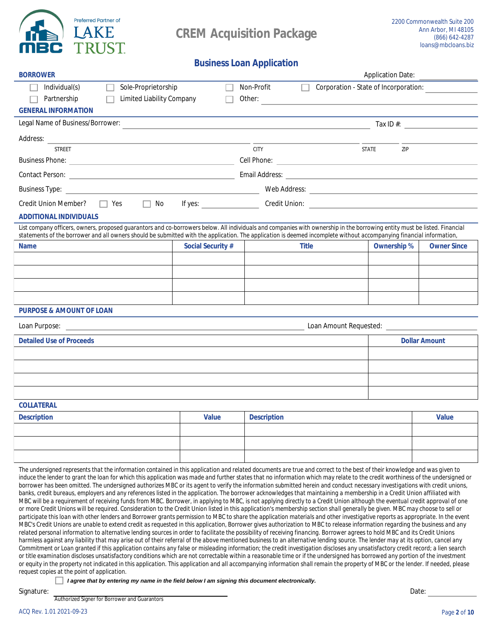

## **Business Loan Application**

| <b>BORROWER</b>                                                                                                                                                                                                                                                                                                                                                                                                                                                                                                                                                                                                                                                                                                                                                                                                                                                                                                                                                                                                                                                                                                                                                                                                                                                                                                                                                                                                                                                                                                                                                                                                                        |                          |                    | <b>Application Date:</b>                     |                    |                           |
|----------------------------------------------------------------------------------------------------------------------------------------------------------------------------------------------------------------------------------------------------------------------------------------------------------------------------------------------------------------------------------------------------------------------------------------------------------------------------------------------------------------------------------------------------------------------------------------------------------------------------------------------------------------------------------------------------------------------------------------------------------------------------------------------------------------------------------------------------------------------------------------------------------------------------------------------------------------------------------------------------------------------------------------------------------------------------------------------------------------------------------------------------------------------------------------------------------------------------------------------------------------------------------------------------------------------------------------------------------------------------------------------------------------------------------------------------------------------------------------------------------------------------------------------------------------------------------------------------------------------------------------|--------------------------|--------------------|----------------------------------------------|--------------------|---------------------------|
| Sole-Proprietorship<br>Individual(s)                                                                                                                                                                                                                                                                                                                                                                                                                                                                                                                                                                                                                                                                                                                                                                                                                                                                                                                                                                                                                                                                                                                                                                                                                                                                                                                                                                                                                                                                                                                                                                                                   |                          | <b>Non-Profit</b>  | <b>Corporation - State of Incorporation:</b> |                    |                           |
| <b>Limited Liability Company</b><br>Partnership                                                                                                                                                                                                                                                                                                                                                                                                                                                                                                                                                                                                                                                                                                                                                                                                                                                                                                                                                                                                                                                                                                                                                                                                                                                                                                                                                                                                                                                                                                                                                                                        |                          | Other:             |                                              |                    |                           |
| <b>GENERAL INFORMATION</b>                                                                                                                                                                                                                                                                                                                                                                                                                                                                                                                                                                                                                                                                                                                                                                                                                                                                                                                                                                                                                                                                                                                                                                                                                                                                                                                                                                                                                                                                                                                                                                                                             |                          |                    |                                              |                    |                           |
| <b>Legal Name of Business/Borrower:</b>                                                                                                                                                                                                                                                                                                                                                                                                                                                                                                                                                                                                                                                                                                                                                                                                                                                                                                                                                                                                                                                                                                                                                                                                                                                                                                                                                                                                                                                                                                                                                                                                |                          |                    |                                              |                    | Tax ID #: $\qquad \qquad$ |
| <b>Address:</b>                                                                                                                                                                                                                                                                                                                                                                                                                                                                                                                                                                                                                                                                                                                                                                                                                                                                                                                                                                                                                                                                                                                                                                                                                                                                                                                                                                                                                                                                                                                                                                                                                        |                          |                    |                                              |                    |                           |
| <b>STREET</b>                                                                                                                                                                                                                                                                                                                                                                                                                                                                                                                                                                                                                                                                                                                                                                                                                                                                                                                                                                                                                                                                                                                                                                                                                                                                                                                                                                                                                                                                                                                                                                                                                          |                          | <b>CITY</b>        | <b>STATE</b>                                 | ZIP                |                           |
| <b>Business Phone:</b>                                                                                                                                                                                                                                                                                                                                                                                                                                                                                                                                                                                                                                                                                                                                                                                                                                                                                                                                                                                                                                                                                                                                                                                                                                                                                                                                                                                                                                                                                                                                                                                                                 |                          |                    |                                              |                    |                           |
| <b>Contact Person:</b> <u>Contact Person:</u> 2007.                                                                                                                                                                                                                                                                                                                                                                                                                                                                                                                                                                                                                                                                                                                                                                                                                                                                                                                                                                                                                                                                                                                                                                                                                                                                                                                                                                                                                                                                                                                                                                                    |                          |                    |                                              |                    |                           |
| <b>Business Type:</b><br><u> 1980 - Johann Barn, amerikansk politiker (d. 1980)</u>                                                                                                                                                                                                                                                                                                                                                                                                                                                                                                                                                                                                                                                                                                                                                                                                                                                                                                                                                                                                                                                                                                                                                                                                                                                                                                                                                                                                                                                                                                                                                    |                          |                    |                                              |                    |                           |
| $\Box$ No<br>$\Box$ Yes<br><b>Credit Union Member?</b>                                                                                                                                                                                                                                                                                                                                                                                                                                                                                                                                                                                                                                                                                                                                                                                                                                                                                                                                                                                                                                                                                                                                                                                                                                                                                                                                                                                                                                                                                                                                                                                 | If yes: $\qquad \qquad$  |                    |                                              |                    |                           |
| ADDITIONAL INDIVIDUAIS                                                                                                                                                                                                                                                                                                                                                                                                                                                                                                                                                                                                                                                                                                                                                                                                                                                                                                                                                                                                                                                                                                                                                                                                                                                                                                                                                                                                                                                                                                                                                                                                                 |                          |                    |                                              |                    |                           |
| List company officers, owners, proposed guarantors and co-borrowers below. All individuals and companies with ownership in the borrowing entity must be listed. Financial<br>statements of the borrower and all owners should be submitted with the application. The application is deemed incomplete without accompanying financial information,                                                                                                                                                                                                                                                                                                                                                                                                                                                                                                                                                                                                                                                                                                                                                                                                                                                                                                                                                                                                                                                                                                                                                                                                                                                                                      |                          |                    |                                              |                    |                           |
| <b>Name</b>                                                                                                                                                                                                                                                                                                                                                                                                                                                                                                                                                                                                                                                                                                                                                                                                                                                                                                                                                                                                                                                                                                                                                                                                                                                                                                                                                                                                                                                                                                                                                                                                                            | <b>Social Security #</b> | <b>Title</b>       |                                              | <b>Ownership %</b> | <b>Owner Since</b>        |
|                                                                                                                                                                                                                                                                                                                                                                                                                                                                                                                                                                                                                                                                                                                                                                                                                                                                                                                                                                                                                                                                                                                                                                                                                                                                                                                                                                                                                                                                                                                                                                                                                                        |                          |                    |                                              |                    |                           |
|                                                                                                                                                                                                                                                                                                                                                                                                                                                                                                                                                                                                                                                                                                                                                                                                                                                                                                                                                                                                                                                                                                                                                                                                                                                                                                                                                                                                                                                                                                                                                                                                                                        |                          |                    |                                              |                    |                           |
|                                                                                                                                                                                                                                                                                                                                                                                                                                                                                                                                                                                                                                                                                                                                                                                                                                                                                                                                                                                                                                                                                                                                                                                                                                                                                                                                                                                                                                                                                                                                                                                                                                        |                          |                    |                                              |                    |                           |
|                                                                                                                                                                                                                                                                                                                                                                                                                                                                                                                                                                                                                                                                                                                                                                                                                                                                                                                                                                                                                                                                                                                                                                                                                                                                                                                                                                                                                                                                                                                                                                                                                                        |                          |                    |                                              |                    |                           |
| <b>PURPOSE &amp; AMOUNT OF LOAN</b>                                                                                                                                                                                                                                                                                                                                                                                                                                                                                                                                                                                                                                                                                                                                                                                                                                                                                                                                                                                                                                                                                                                                                                                                                                                                                                                                                                                                                                                                                                                                                                                                    |                          |                    |                                              |                    |                           |
| <b>Loan Purpose:</b><br><u> 1989 - Jan Samuel Barbara, martin a shekara ta 1989 - An tsara tsara tsara tsara tsara tsara tsara tsara tsa</u>                                                                                                                                                                                                                                                                                                                                                                                                                                                                                                                                                                                                                                                                                                                                                                                                                                                                                                                                                                                                                                                                                                                                                                                                                                                                                                                                                                                                                                                                                           |                          |                    |                                              |                    |                           |
| <b>Detailed Use of Proceeds</b>                                                                                                                                                                                                                                                                                                                                                                                                                                                                                                                                                                                                                                                                                                                                                                                                                                                                                                                                                                                                                                                                                                                                                                                                                                                                                                                                                                                                                                                                                                                                                                                                        |                          |                    |                                              |                    | <b>Dollar Amount</b>      |
|                                                                                                                                                                                                                                                                                                                                                                                                                                                                                                                                                                                                                                                                                                                                                                                                                                                                                                                                                                                                                                                                                                                                                                                                                                                                                                                                                                                                                                                                                                                                                                                                                                        |                          |                    |                                              |                    |                           |
|                                                                                                                                                                                                                                                                                                                                                                                                                                                                                                                                                                                                                                                                                                                                                                                                                                                                                                                                                                                                                                                                                                                                                                                                                                                                                                                                                                                                                                                                                                                                                                                                                                        |                          |                    |                                              |                    |                           |
|                                                                                                                                                                                                                                                                                                                                                                                                                                                                                                                                                                                                                                                                                                                                                                                                                                                                                                                                                                                                                                                                                                                                                                                                                                                                                                                                                                                                                                                                                                                                                                                                                                        |                          |                    |                                              |                    |                           |
|                                                                                                                                                                                                                                                                                                                                                                                                                                                                                                                                                                                                                                                                                                                                                                                                                                                                                                                                                                                                                                                                                                                                                                                                                                                                                                                                                                                                                                                                                                                                                                                                                                        |                          |                    |                                              |                    |                           |
| COLLATERAL                                                                                                                                                                                                                                                                                                                                                                                                                                                                                                                                                                                                                                                                                                                                                                                                                                                                                                                                                                                                                                                                                                                                                                                                                                                                                                                                                                                                                                                                                                                                                                                                                             |                          |                    |                                              |                    |                           |
| <b>Description</b>                                                                                                                                                                                                                                                                                                                                                                                                                                                                                                                                                                                                                                                                                                                                                                                                                                                                                                                                                                                                                                                                                                                                                                                                                                                                                                                                                                                                                                                                                                                                                                                                                     | <b>Value</b>             | <b>Description</b> |                                              |                    | <b>Value</b>              |
|                                                                                                                                                                                                                                                                                                                                                                                                                                                                                                                                                                                                                                                                                                                                                                                                                                                                                                                                                                                                                                                                                                                                                                                                                                                                                                                                                                                                                                                                                                                                                                                                                                        |                          |                    |                                              |                    |                           |
|                                                                                                                                                                                                                                                                                                                                                                                                                                                                                                                                                                                                                                                                                                                                                                                                                                                                                                                                                                                                                                                                                                                                                                                                                                                                                                                                                                                                                                                                                                                                                                                                                                        |                          |                    |                                              |                    |                           |
|                                                                                                                                                                                                                                                                                                                                                                                                                                                                                                                                                                                                                                                                                                                                                                                                                                                                                                                                                                                                                                                                                                                                                                                                                                                                                                                                                                                                                                                                                                                                                                                                                                        |                          |                    |                                              |                    |                           |
| The undersigned represents that the information contained in this application and related documents are true and correct to the best of their knowledge and was given to<br>induce the lender to grant the loan for which this application was made and further states that no information which may relate to the credit worthiness of the undersigned or<br>borrower has been omitted. The undersigned authorizes MBC or its agent to verify the information submitted herein and conduct necessary investigations with credit unions,<br>banks, credit bureaus, employers and any references listed in the application. The borrower acknowledges that maintaining a membership in a Credit Union affiliated with<br>MBC will be a requirement of receiving funds from MBC. Borrower, in applying to MBC, is not applying directly to a Credit Union although the eventual credit approval of one<br>or more Credit Unions will be required. Consideration to the Credit Union listed in this application's membership section shall generally be given. MBC may choose to sell or<br>participate this loan with other lenders and Borrower grants permission to MBC to share the application materials and other investigative reports as appropriate. In the event<br>MBC's Credit Unions are unable to extend credit as requested in this application, Borrower gives authorization to MBC to release information regarding the business and any<br>related personal information to alternative lending sources in order to facilitate the possibility of receiving financing. Borrower agrees to hold MBC and its Credit Unions |                          |                    |                                              |                    |                           |

harmless against any liability that may arise out of their referral of the above mentioned business to an alternative lending source. The lender may at its option, cancel any Commitment or Loan granted if this application contains any false or misleading information; the credit investigation discloses any unsatisfactory credit record; a lien search or title examination discloses unsatisfactory conditions which are not correctable within a reasonable time or if the undersigned has borrowed any portion of the investment or equity in the property not indicated in this application. This application and all accompanying information shall remain the property of MBC or the lender. If needed, please request copies at the point of application.

I agree that by entering my name in the field below I am signing this document electronically.

Signature:

**Authorized Signer for Borrower and Guarantors**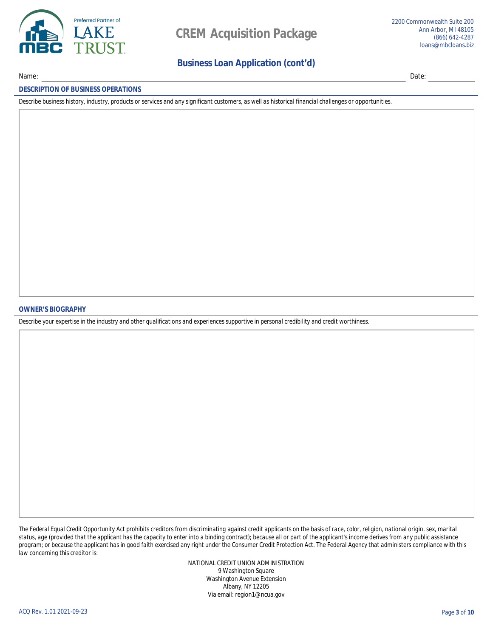

Name:

## **Business Loan Application (cont'd)**

Date:

#### **DESCRIPTION OF BUSINESS OPERATIONS**

Describe business history, industry, products or services and any significant customers, as well as historical financial challenges or opportunities.

**OWNER'S BIOGRAPHY** 

Describe your expertise in the industry and other qualifications and experiences supportive in personal credibility and credit worthiness.

The Federal Equal Credit Opportunity Act prohibits creditors from discriminating against credit applicants on the basis of race, color, religion, national origin, sex, marital status, age (provided that the applicant has the capacity to enter into a binding contract); because all or part of the applicant's income derives from any public assistance program; or because the applicant has in good faith exercised any right under the Consumer Credit Protection Act. The Federal Agency that administers compliance with this law concerning this creditor is:

> NATIONAL CREDIT UNION ADMINISTRATION 9 Washington Square **Washington Avenue Extension Albany, NY 12205** Via email: region1@ncua.gov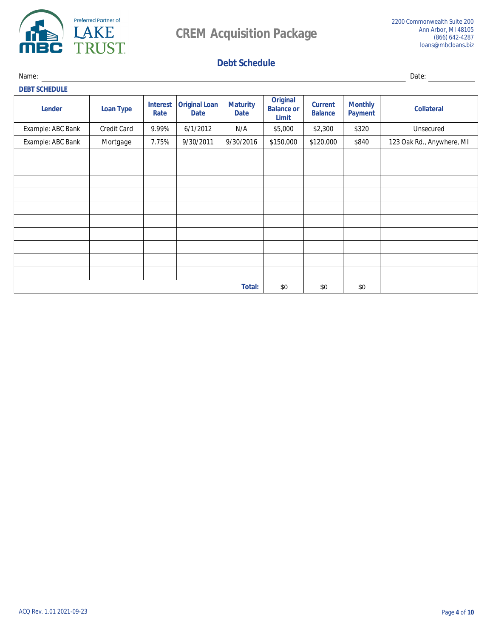

# **Debt Schedule**

Name:

Date: **DEBT SCHEDULE Original Interest** Original Loan **Maturity Monthly Current Lender Loan Type Balance or Collateral Rate Date Date Balance Payment Limit Example: ABC Bank**  $6/1/2012$  $9.99\%$  $N\!/\!A$ \$5,000 \$2,300 **Unsecured Credit Card** \$320 **Example: ABC Bank Mortgage**  $7.75%$  $9/30/2011$  $9/30/2016$  $$150,000$  $$120,000$ **\$840** 123 Oak Rd., Anywhere, MI **Total:** \$0 \$0 \$0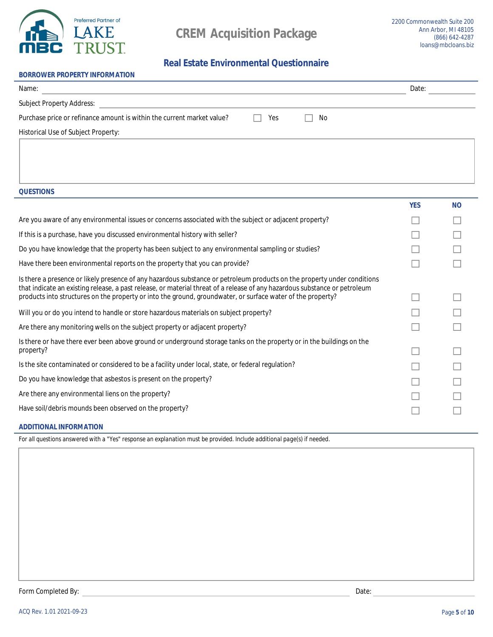

# **Real Estate Environmental Questionnaire**

| <b>BORROWER PROPERTY INFORMATION</b>                                   |     |    |       |
|------------------------------------------------------------------------|-----|----|-------|
| Name:                                                                  |     |    | Date: |
| <b>Subject Property Address:</b>                                       |     |    |       |
| Purchase price or refinance amount is within the current market value? | Yes | No |       |
| <b>Historical Use of Subject Property:</b>                             |     |    |       |

**QUESTIONS** 

|                                                                                                                                                                                                                                           | YES | N <sub>0</sub> |
|-------------------------------------------------------------------------------------------------------------------------------------------------------------------------------------------------------------------------------------------|-----|----------------|
| Are you aware of any environmental issues or concerns associated with the subject or adjacent property?                                                                                                                                   |     |                |
| If this is a purchase, have you discussed environmental history with seller?                                                                                                                                                              |     |                |
| Do you have knowledge that the property has been subject to any environmental sampling or studies?                                                                                                                                        |     |                |
| Have there been environmental reports on the property that you can provide?                                                                                                                                                               |     |                |
| Is there a presence or likely presence of any hazardous substance or petroleum products on the property under conditions                                                                                                                  |     |                |
| that indicate an existing release, a past release, or material threat of a release of any hazardous substance or petroleum<br>products into structures on the property or into the ground, groundwater, or surface water of the property? |     |                |
| Will you or do you intend to handle or store hazardous materials on subject property?                                                                                                                                                     |     |                |
| Are there any monitoring wells on the subject property or adjacent property?                                                                                                                                                              |     |                |
| Is there or have there ever been above ground or underground storage tanks on the property or in the buildings on the                                                                                                                     |     |                |
| property?                                                                                                                                                                                                                                 |     |                |
| Is the site contaminated or considered to be a facility under local, state, or federal regulation?                                                                                                                                        |     |                |
| Do you have knowledge that asbestos is present on the property?                                                                                                                                                                           |     |                |
| Are there any environmental liens on the property?                                                                                                                                                                                        |     |                |
| Have soil/debris mounds been observed on the property?                                                                                                                                                                                    |     |                |
|                                                                                                                                                                                                                                           |     |                |

## **ADDITIONAL INFORMATION**

For all questions answered with a "Yes" response an explanation must be provided. Include additional page(s) if needed.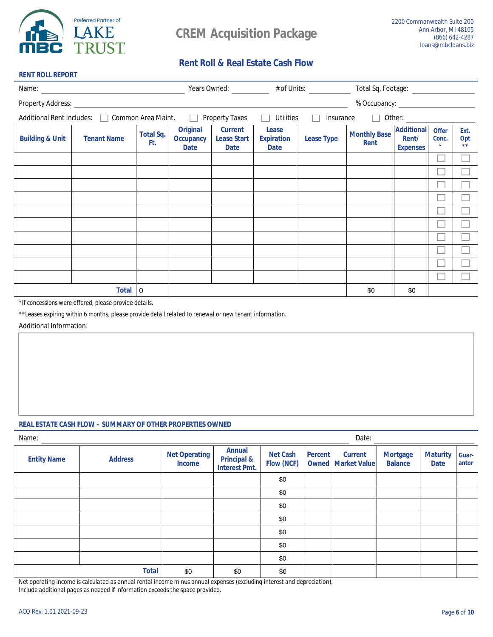

**RENT ROLL REPORT** 

# **Rent Roll & Real Estate Cash Flow**

| Name:                      |                                                |                         |                                                    |                                                     |                                                  | Years Owned: # of Units: |                                    |                                               |                                        |                     |
|----------------------------|------------------------------------------------|-------------------------|----------------------------------------------------|-----------------------------------------------------|--------------------------------------------------|--------------------------|------------------------------------|-----------------------------------------------|----------------------------------------|---------------------|
| <b>Property Address:</b>   |                                                |                         |                                                    |                                                     |                                                  |                          | % Occupancy:                       |                                               |                                        |                     |
|                            | Additional Rent Includes:   Common Area Maint. |                         | $\Box$                                             | <b>Property Taxes</b>                               | <b>Utilities</b>                                 | <b>Insurance</b>         | $\Box$                             | Other:                                        |                                        |                     |
| <b>Building &amp; Unit</b> | <b>Tenant Name</b>                             | <b>Total Sq.</b><br>Ft. | <b>Original</b><br><b>Occupancy</b><br><b>Date</b> | <b>Current</b><br><b>Lease Start</b><br><b>Date</b> | <b>Lease</b><br><b>Expiration</b><br><b>Date</b> | <b>Lease Type</b>        | <b>Monthly Base</b><br><b>Rent</b> | <b>Additional</b><br>Rent/<br><b>Expenses</b> | <b>Offer</b><br>Conc.<br>$\frac{1}{2}$ | Ext.<br>Opt<br>$**$ |
|                            |                                                |                         |                                                    |                                                     |                                                  |                          |                                    |                                               |                                        |                     |
|                            |                                                |                         |                                                    |                                                     |                                                  |                          |                                    |                                               |                                        |                     |
|                            |                                                |                         |                                                    |                                                     |                                                  |                          |                                    |                                               |                                        |                     |
|                            |                                                |                         |                                                    |                                                     |                                                  |                          |                                    |                                               |                                        |                     |
|                            |                                                |                         |                                                    |                                                     |                                                  |                          |                                    |                                               |                                        |                     |
|                            |                                                |                         |                                                    |                                                     |                                                  |                          |                                    |                                               |                                        |                     |
|                            |                                                |                         |                                                    |                                                     |                                                  |                          |                                    |                                               |                                        |                     |
|                            |                                                |                         |                                                    |                                                     |                                                  |                          |                                    |                                               |                                        |                     |
|                            |                                                |                         |                                                    |                                                     |                                                  |                          |                                    |                                               |                                        |                     |
|                            |                                                |                         |                                                    |                                                     |                                                  |                          |                                    |                                               |                                        |                     |
|                            | <b>Total</b>                                   | l 0                     |                                                    |                                                     |                                                  |                          | \$0                                | \$0                                           |                                        |                     |

\*If concessions were offered, please provide details.

\*\*Leases expiring within 6 months, please provide detail related to renewal or new tenant information.

**Additional Information:** 

### **REAL ESTATE CASH FLOW - SUMMARY OF OTHER PROPERTIES OWNED**

| Name:              |                |                                       | Date:                                                           |                                      |                |                                              |                                   |                                |                       |
|--------------------|----------------|---------------------------------------|-----------------------------------------------------------------|--------------------------------------|----------------|----------------------------------------------|-----------------------------------|--------------------------------|-----------------------|
| <b>Entity Name</b> | <b>Address</b> | <b>Net Operating</b><br><b>Income</b> | <b>Annual</b><br><b>Principal &amp;</b><br><b>Interest Pmt.</b> | <b>Net Cash</b><br><b>Flow (NCF)</b> | <b>Percent</b> | <b>Current</b><br><b>Owned  Market Value</b> | <b>Mortgage</b><br><b>Balance</b> | <b>Maturity</b><br><b>Date</b> | <b>Guar-</b><br>antor |
|                    |                |                                       |                                                                 | \$0                                  |                |                                              |                                   |                                |                       |
|                    |                |                                       |                                                                 | \$0                                  |                |                                              |                                   |                                |                       |
|                    |                |                                       |                                                                 | \$0                                  |                |                                              |                                   |                                |                       |
|                    |                |                                       |                                                                 | \$0                                  |                |                                              |                                   |                                |                       |
|                    |                |                                       |                                                                 | \$0                                  |                |                                              |                                   |                                |                       |
|                    |                |                                       |                                                                 | \$0                                  |                |                                              |                                   |                                |                       |
|                    |                |                                       |                                                                 | \$0                                  |                |                                              |                                   |                                |                       |
|                    | <b>Total</b>   | \$0                                   | \$0                                                             | \$0                                  |                |                                              |                                   |                                |                       |

Net operating income is calculated as annual rental income minus annual expenses (excluding interest and depreciation).

Include additional pages as needed if information exceeds the space provided.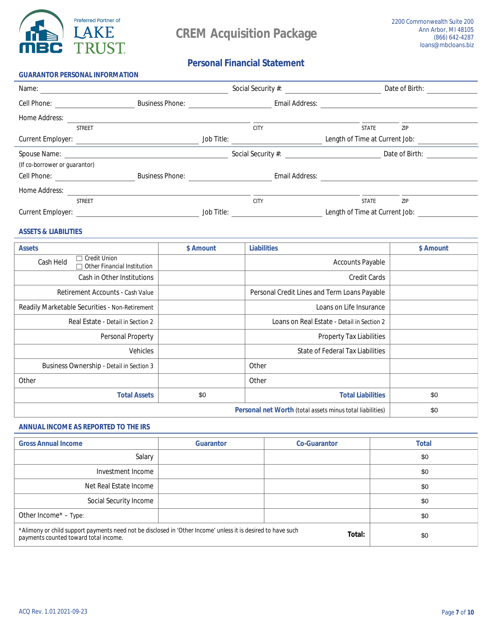

## **Personal Financial Statement**

| <b>GUARANTOR PERSONAL INFORMATION</b> |                        |                   |                           |                                |                |
|---------------------------------------|------------------------|-------------------|---------------------------|--------------------------------|----------------|
| Name:                                 |                        |                   | <b>Social Security #:</b> |                                | Date of Birth: |
| <b>Cell Phone:</b>                    | <b>Business Phone:</b> |                   | <b>Email Address:</b>     |                                |                |
| <b>Home Address:</b>                  |                        |                   |                           |                                |                |
| <b>STREET</b>                         |                        |                   | <b>CITY</b>               | <b>STATE</b>                   | ZIP            |
| <b>Current Employer:</b>              |                        | <b>Job Title:</b> |                           | Length of Time at Current Job: |                |
| Spouse Name: Name:                    |                        |                   | <b>Social Security #:</b> |                                | Date of Birth: |
| (If co-borrower or guarantor)         |                        |                   |                           |                                |                |
| <b>Cell Phone:</b>                    | <b>Business Phone:</b> |                   | <b>Email Address:</b>     |                                |                |
| <b>Home Address:</b>                  |                        |                   |                           |                                |                |
| <b>STREET</b>                         |                        |                   | <b>CITY</b>               | <b>STATE</b>                   | ZIP            |
| <b>Current Employer:</b>              |                        | <b>Job Title:</b> |                           | Length of Time at Current Job: |                |

### **ASSETS & LIABILITIES**

| <b>Assets</b>                                                                       | <b>S</b> Amount | <b>Liabilities</b>                                               | <b>S</b> Amount |
|-------------------------------------------------------------------------------------|-----------------|------------------------------------------------------------------|-----------------|
| <b>Credit Union</b><br>L.<br><b>Cash Held</b><br><b>Other Financial Institution</b> |                 | <b>Accounts Payable</b>                                          |                 |
| <b>Cash in Other Institutions</b>                                                   |                 | <b>Credit Cards</b>                                              |                 |
| <b>Retirement Accounts - Cash Value</b>                                             |                 | <b>Personal Credit Lines and Term Loans Payable</b>              |                 |
| <b>Readily Marketable Securities - Non-Retirement</b>                               |                 | Loans on Life Insurance                                          |                 |
| Real Estate - Detail in Section 2                                                   |                 | Loans on Real Estate - Detail in Section 2                       |                 |
| <b>Personal Property</b>                                                            |                 | <b>Property Tax Liabilities</b>                                  |                 |
| <b>Vehicles</b>                                                                     |                 | <b>State of Federal Tax Liabilities</b>                          |                 |
| <b>Business Ownership - Detail in Section 3</b>                                     |                 | <b>Other</b>                                                     |                 |
| <b>Other</b>                                                                        |                 | <b>Other</b>                                                     |                 |
| <b>Total Assets</b>                                                                 | \$0             | <b>Total Liabilities</b>                                         | \$0             |
|                                                                                     |                 | <b>Personal net Worth (total assets minus total liabilities)</b> | \$0             |

### **ANNUAL INCOME AS REPORTED TO THE IRS**

| <b>Gross Annual Income</b>                                                                                                                            | <b>Guarantor</b> | <b>Co-Guarantor</b> | <b>Total</b> |
|-------------------------------------------------------------------------------------------------------------------------------------------------------|------------------|---------------------|--------------|
| <b>Salary</b>                                                                                                                                         |                  |                     | \$0          |
| <b>Investment Income</b>                                                                                                                              |                  |                     | \$0          |
| <b>Net Real Estate Income</b>                                                                                                                         |                  |                     | \$0          |
| <b>Social Security Income</b>                                                                                                                         |                  |                     | \$0          |
| Other Income* - Type:                                                                                                                                 |                  |                     | \$0          |
| *Alimony or child support payments need not be disclosed in 'Other Income' unless it is desired to have such<br>payments counted toward total income. | \$0              |                     |              |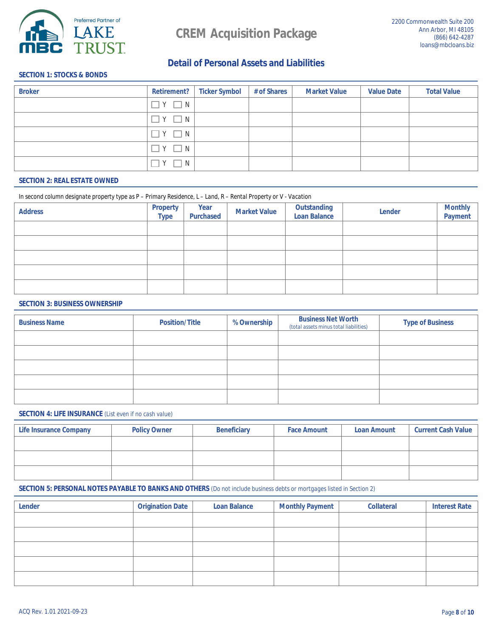

## **Detail of Personal Assets and Liabilities**

### **SECTION 1: STOCKS & BONDS**

| <b>Broker</b> |                    | <b>Retirement?</b> Ticker Symbol | # of Shares | <b>Market Value</b> | <b>Value Date</b> | <b>Total Value</b> |
|---------------|--------------------|----------------------------------|-------------|---------------------|-------------------|--------------------|
|               | $\exists Y \Box N$ |                                  |             |                     |                   |                    |
|               | $\top Y$ $\Box N$  |                                  |             |                     |                   |                    |
|               | $\top Y \square N$ |                                  |             |                     |                   |                    |
|               | $Y \Box N$         |                                  |             |                     |                   |                    |
|               | $\mathbf{Y}$<br>N  |                                  |             |                     |                   |                    |

### **SECTION 2: REAL ESTATE OWNED**

#### In second column designate property type as P - Primary Residence, L - Land, R - Rental Property or V - Vacation

| <b>Address</b> | <b>Property</b><br><b>Type</b> | <b>Year</b><br><b>Purchased</b> | <b>Market Value</b> | <b>Outstanding<br/>Loan Balance</b> | <b>Lender</b> | <b>Monthly</b><br><b>Payment</b> |
|----------------|--------------------------------|---------------------------------|---------------------|-------------------------------------|---------------|----------------------------------|
|                |                                |                                 |                     |                                     |               |                                  |
|                |                                |                                 |                     |                                     |               |                                  |
|                |                                |                                 |                     |                                     |               |                                  |
|                |                                |                                 |                     |                                     |               |                                  |
|                |                                |                                 |                     |                                     |               |                                  |

### **SECTION 3: BUSINESS OWNERSHIP**

| <b>Business Name</b> | <b>Position/Title</b> | <b>% Ownership</b> | <b>Business Net Worth</b><br>(total assets minus total liabilities) | <b>Type of Business</b> |
|----------------------|-----------------------|--------------------|---------------------------------------------------------------------|-------------------------|
|                      |                       |                    |                                                                     |                         |
|                      |                       |                    |                                                                     |                         |
|                      |                       |                    |                                                                     |                         |
|                      |                       |                    |                                                                     |                         |
|                      |                       |                    |                                                                     |                         |

### **SECTION 4: LIFE INSURANCE** (List even if no cash value)

| <b>Life Insurance Company</b> | <b>Policy Owner</b> | <b>Beneficiary</b> | <b>Face Amount</b> | <b>Loan Amount</b> | <b>Current Cash Value</b> |
|-------------------------------|---------------------|--------------------|--------------------|--------------------|---------------------------|
|                               |                     |                    |                    |                    |                           |
|                               |                     |                    |                    |                    |                           |
|                               |                     |                    |                    |                    |                           |

#### **SECTION 5: PERSONAL NOTES PAYABLE TO BANKS AND OTHERS** (Do not include business debts or mortgages listed in Section 2)

| <b>Lender</b> | <b>Origination Date</b> | <b>Loan Balance</b> | <b>Monthly Payment</b> | <b>Collateral</b> | <b>Interest Rate</b> |
|---------------|-------------------------|---------------------|------------------------|-------------------|----------------------|
|               |                         |                     |                        |                   |                      |
|               |                         |                     |                        |                   |                      |
|               |                         |                     |                        |                   |                      |
|               |                         |                     |                        |                   |                      |
|               |                         |                     |                        |                   |                      |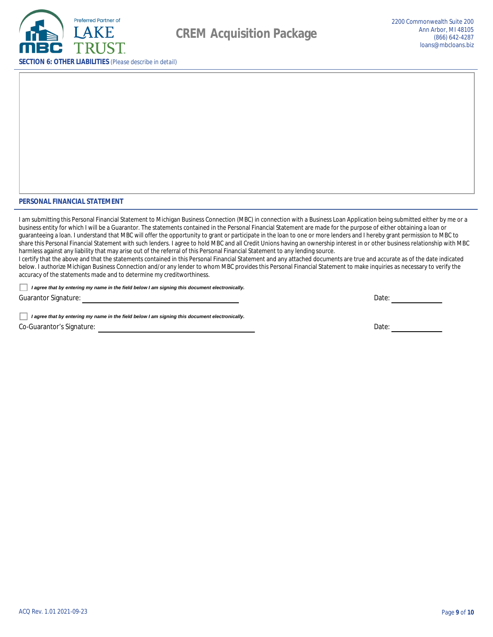

#### PERSONAL FINANCIAL STATEMENT

I am submitting this Personal Financial Statement to Michigan Business Connection (MBC) in connection with a Business Loan Application being submitted either by me or a business entity for which I will be a Guarantor. The statements contained in the Personal Financial Statement are made for the purpose of either obtaining a loan or guaranteeing a loan. I understand that MBC will offer the opportunity to grant or participate in the loan to one or more lenders and I hereby grant permission to MBC to share this Personal Financial Statement with such lenders. I agree to hold MBC and all Credit Unions having an ownership interest in or other business relationship with MBC harmless against any liability that may arise out of the referral of this Personal Financial Statement to any lending source.

I certify that the above and that the statements contained in this Personal Financial Statement and any attached documents are true and accurate as of the date indicated below. I authorize Michigan Business Connection and/or any lender to whom MBC provides this Personal Financial Statement to make inquiries as necessary to verify the accuracy of the statements made and to determine my creditworthiness.

I agree that by entering my name in the field below I am signing this document electronically.

**Guarantor Signature:** 

I agree that by entering my name in the field below I am signing this document electronically. **Co-Guarantor's Signature:** 

Date:

Date: